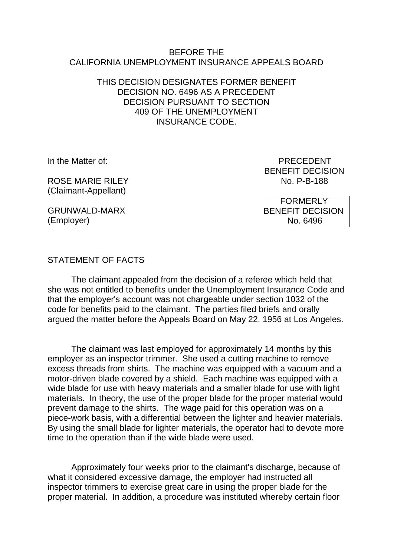### BEFORE THE CALIFORNIA UNEMPLOYMENT INSURANCE APPEALS BOARD

## THIS DECISION DESIGNATES FORMER BENEFIT DECISION NO. 6496 AS A PRECEDENT DECISION PURSUANT TO SECTION 409 OF THE UNEMPLOYMENT INSURANCE CODE.

ROSE MARIE RII FY (Claimant-Appellant)

GRUNWALD-MARX (Employer)

In the Matter of: PRECEDENT BENEFIT DECISION<br>No. P-B-188

> FORMERLY BENEFIT DECISION No. 6496

# STATEMENT OF FACTS

The claimant appealed from the decision of a referee which held that she was not entitled to benefits under the Unemployment Insurance Code and that the employer's account was not chargeable under section 1032 of the code for benefits paid to the claimant. The parties filed briefs and orally argued the matter before the Appeals Board on May 22, 1956 at Los Angeles.

The claimant was last employed for approximately 14 months by this employer as an inspector trimmer. She used a cutting machine to remove excess threads from shirts. The machine was equipped with a vacuum and a motor-driven blade covered by a shield. Each machine was equipped with a wide blade for use with heavy materials and a smaller blade for use with light materials. In theory, the use of the proper blade for the proper material would prevent damage to the shirts. The wage paid for this operation was on a piece-work basis, with a differential between the lighter and heavier materials. By using the small blade for lighter materials, the operator had to devote more time to the operation than if the wide blade were used.

Approximately four weeks prior to the claimant's discharge, because of what it considered excessive damage, the employer had instructed all inspector trimmers to exercise great care in using the proper blade for the proper material. In addition, a procedure was instituted whereby certain floor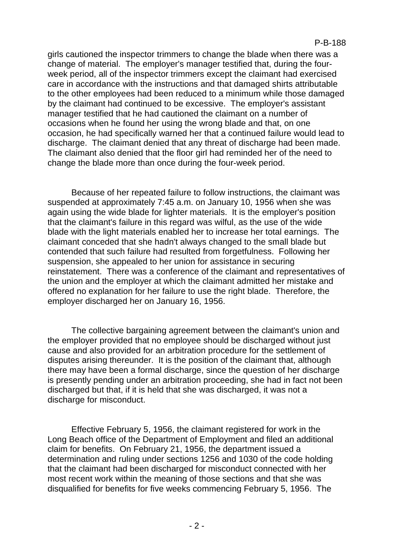girls cautioned the inspector trimmers to change the blade when there was a change of material. The employer's manager testified that, during the fourweek period, all of the inspector trimmers except the claimant had exercised care in accordance with the instructions and that damaged shirts attributable to the other employees had been reduced to a minimum while those damaged by the claimant had continued to be excessive. The employer's assistant manager testified that he had cautioned the claimant on a number of occasions when he found her using the wrong blade and that, on one occasion, he had specifically warned her that a continued failure would lead to discharge. The claimant denied that any threat of discharge had been made. The claimant also denied that the floor girl had reminded her of the need to change the blade more than once during the four-week period.

Because of her repeated failure to follow instructions, the claimant was suspended at approximately 7:45 a.m. on January 10, 1956 when she was again using the wide blade for lighter materials. It is the employer's position that the claimant's failure in this regard was wilful, as the use of the wide blade with the light materials enabled her to increase her total earnings. The claimant conceded that she hadn't always changed to the small blade but contended that such failure had resulted from forgetfulness. Following her suspension, she appealed to her union for assistance in securing reinstatement. There was a conference of the claimant and representatives of the union and the employer at which the claimant admitted her mistake and offered no explanation for her failure to use the right blade. Therefore, the employer discharged her on January 16, 1956.

The collective bargaining agreement between the claimant's union and the employer provided that no employee should be discharged without just cause and also provided for an arbitration procedure for the settlement of disputes arising thereunder. It is the position of the claimant that, although there may have been a formal discharge, since the question of her discharge is presently pending under an arbitration proceeding, she had in fact not been discharged but that, if it is held that she was discharged, it was not a discharge for misconduct.

Effective February 5, 1956, the claimant registered for work in the Long Beach office of the Department of Employment and filed an additional claim for benefits. On February 21, 1956, the department issued a determination and ruling under sections 1256 and 1030 of the code holding that the claimant had been discharged for misconduct connected with her most recent work within the meaning of those sections and that she was disqualified for benefits for five weeks commencing February 5, 1956. The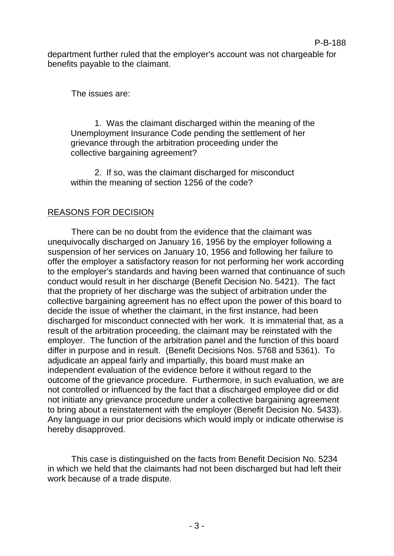department further ruled that the employer's account was not chargeable for benefits payable to the claimant.

The issues are:

1. Was the claimant discharged within the meaning of the Unemployment Insurance Code pending the settlement of her grievance through the arbitration proceeding under the collective bargaining agreement?

2. If so, was the claimant discharged for misconduct within the meaning of section 1256 of the code?

# REASONS FOR DECISION

There can be no doubt from the evidence that the claimant was unequivocally discharged on January 16, 1956 by the employer following a suspension of her services on January 10, 1956 and following her failure to offer the employer a satisfactory reason for not performing her work according to the employer's standards and having been warned that continuance of such conduct would result in her discharge (Benefit Decision No. 5421). The fact that the propriety of her discharge was the subject of arbitration under the collective bargaining agreement has no effect upon the power of this board to decide the issue of whether the claimant, in the first instance, had been discharged for misconduct connected with her work. It is immaterial that, as a result of the arbitration proceeding, the claimant may be reinstated with the employer. The function of the arbitration panel and the function of this board differ in purpose and in result. (Benefit Decisions Nos. 5768 and 5361). To adjudicate an appeal fairly and impartially, this board must make an independent evaluation of the evidence before it without regard to the outcome of the grievance procedure. Furthermore, in such evaluation, we are not controlled or influenced by the fact that a discharged employee did or did not initiate any grievance procedure under a collective bargaining agreement to bring about a reinstatement with the employer (Benefit Decision No. 5433). Any language in our prior decisions which would imply or indicate otherwise is hereby disapproved.

This case is distinguished on the facts from Benefit Decision No. 5234 in which we held that the claimants had not been discharged but had left their work because of a trade dispute.